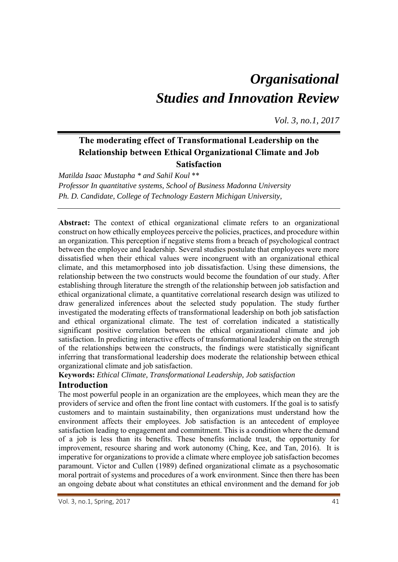# *Organisational Studies and Innovation Review*

*Vol. 3, no.1, 2017*

## **The moderating effect of Transformational Leadership on the Relationship between Ethical Organizational Climate and Job Satisfaction**

*Matilda Isaac Mustapha \* and Sahil Koul* \*\* *Professor In quantitative systems, School of Business Madonna University Ph. D. Candidate, College of Technology Eastern Michigan University,* 

**Abstract:** The context of ethical organizational climate refers to an organizational construct on how ethically employees perceive the policies, practices, and procedure within an organization. This perception if negative stems from a breach of psychological contract between the employee and leadership. Several studies postulate that employees were more dissatisfied when their ethical values were incongruent with an organizational ethical climate, and this metamorphosed into job dissatisfaction. Using these dimensions, the relationship between the two constructs would become the foundation of our study. After establishing through literature the strength of the relationship between job satisfaction and ethical organizational climate, a quantitative correlational research design was utilized to draw generalized inferences about the selected study population. The study further investigated the moderating effects of transformational leadership on both job satisfaction and ethical organizational climate. The test of correlation indicated a statistically significant positive correlation between the ethical organizational climate and job satisfaction. In predicting interactive effects of transformational leadership on the strength of the relationships between the constructs, the findings were statistically significant inferring that transformational leadership does moderate the relationship between ethical organizational climate and job satisfaction.

**Keywords:** *Ethical Climate, Transformational Leadership, Job satisfaction* 

## **Introduction**

The most powerful people in an organization are the employees, which mean they are the providers of service and often the front line contact with customers. If the goal is to satisfy customers and to maintain sustainability, then organizations must understand how the environment affects their employees. Job satisfaction is an antecedent of employee satisfaction leading to engagement and commitment. This is a condition where the demand of a job is less than its benefits. These benefits include trust, the opportunity for improvement, resource sharing and work autonomy (Ching, Kee, and Tan, 2016). It is imperative for organizations to provide a climate where employee job satisfaction becomes paramount. Victor and Cullen (1989) defined organizational climate as a psychosomatic moral portrait of systems and procedures of a work environment. Since then there has been an ongoing debate about what constitutes an ethical environment and the demand for job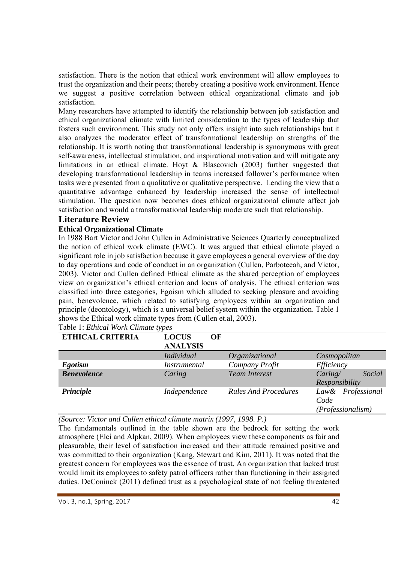satisfaction. There is the notion that ethical work environment will allow employees to trust the organization and their peers; thereby creating a positive work environment. Hence we suggest a positive correlation between ethical organizational climate and job satisfaction.

Many researchers have attempted to identify the relationship between job satisfaction and ethical organizational climate with limited consideration to the types of leadership that fosters such environment. This study not only offers insight into such relationships but it also analyzes the moderator effect of transformational leadership on strengths of the relationship. It is worth noting that transformational leadership is synonymous with great self-awareness, intellectual stimulation, and inspirational motivation and will mitigate any limitations in an ethical climate. Hoyt & Blascovich (2003) further suggested that developing transformational leadership in teams increased follower's performance when tasks were presented from a qualitative or qualitative perspective. Lending the view that a quantitative advantage enhanced by leadership increased the sense of intellectual stimulation. The question now becomes does ethical organizational climate affect job satisfaction and would a transformational leadership moderate such that relationship.

## **Literature Review**

## **Ethical Organizational Climate**

In 1988 Bart Victor and John Cullen in Administrative Sciences Quarterly conceptualized the notion of ethical work climate (EWC). It was argued that ethical climate played a significant role in job satisfaction because it gave employees a general overview of the day to day operations and code of conduct in an organization (Cullen, Parboteeah, and Victor, 2003). Victor and Cullen defined Ethical climate as the shared perception of employees view on organization's ethical criterion and locus of analysis. The ethical criterion was classified into three categories, Egoism which alluded to seeking pleasure and avoiding pain, benevolence, which related to satisfying employees within an organization and principle (deontology), which is a universal belief system within the organization. Table 1 shows the Ethical work climate types from (Cullen et.al, 2003).

| <b>ETHICAL CRITERIA</b> | <b>LOCUS</b><br>OF<br><b>ANALYSIS</b> |                             |                                                |
|-------------------------|---------------------------------------|-----------------------------|------------------------------------------------|
|                         | <b>Individual</b>                     | Organizational              | Cosmopolitan                                   |
| <b>Egotism</b>          | <i>Instrumental</i>                   | Company Profit              | Efficiency                                     |
| <b>Benevolence</b>      | Caring                                | <b>Team Interest</b>        | Social<br>Caring/<br>Responsibility            |
| Principle               | Independence                          | <b>Rules And Procedures</b> | Law& Professional<br>Code<br>(Professionalism) |

| Table 1: Ethical Work Climate types |  |
|-------------------------------------|--|

*(Source: Victor and Cullen ethical climate matrix (1997, 1998. P.)* 

The fundamentals outlined in the table shown are the bedrock for setting the work atmosphere (Elci and Alpkan, 2009). When employees view these components as fair and pleasurable, their level of satisfaction increased and their attitude remained positive and was committed to their organization (Kang, Stewart and Kim, 2011). It was noted that the greatest concern for employees was the essence of trust. An organization that lacked trust would limit its employees to safety patrol officers rather than functioning in their assigned duties. DeConinck (2011) defined trust as a psychological state of not feeling threatened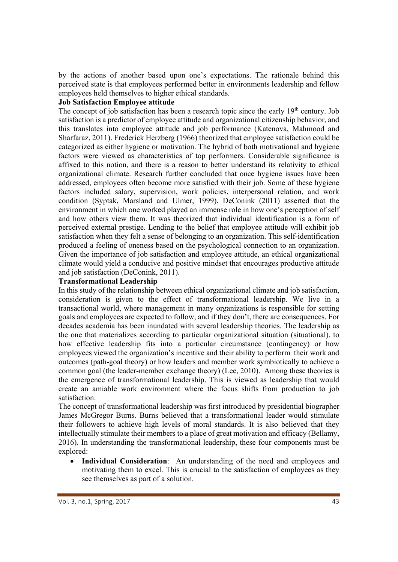by the actions of another based upon one's expectations. The rationale behind this perceived state is that employees performed better in environments leadership and fellow employees held themselves to higher ethical standards.

#### **Job Satisfaction Employee attitude**

The concept of job satisfaction has been a research topic since the early  $19<sup>th</sup>$  century. Job satisfaction is a predictor of employee attitude and organizational citizenship behavior, and this translates into employee attitude and job performance (Katenova, Mahmood and Sharfaraz, 2011). Frederick Herzberg (1966) theorized that employee satisfaction could be categorized as either hygiene or motivation. The hybrid of both motivational and hygiene factors were viewed as characteristics of top performers. Considerable significance is affixed to this notion, and there is a reason to better understand its relativity to ethical organizational climate. Research further concluded that once hygiene issues have been addressed, employees often become more satisfied with their job. Some of these hygiene factors included salary, supervision, work policies, interpersonal relation, and work condition (Syptak, Marsland and Ulmer, 1999). DeConink (2011) asserted that the environment in which one worked played an immense role in how one's perception of self and how others view them. It was theorized that individual identification is a form of perceived external prestige. Lending to the belief that employee attitude will exhibit job satisfaction when they felt a sense of belonging to an organization. This self-identification produced a feeling of oneness based on the psychological connection to an organization. Given the importance of job satisfaction and employee attitude, an ethical organizational climate would yield a conducive and positive mindset that encourages productive attitude and job satisfaction (DeConink, 2011).

#### **Transformational Leadership**

In this study of the relationship between ethical organizational climate and job satisfaction, consideration is given to the effect of transformational leadership. We live in a transactional world, where management in many organizations is responsible for setting goals and employees are expected to follow, and if they don't, there are consequences. For decades academia has been inundated with several leadership theories. The leadership as the one that materializes according to particular organizational situation (situational), to how effective leadership fits into a particular circumstance (contingency) or how employees viewed the organization's incentive and their ability to perform their work and outcomes (path-goal theory) or how leaders and member work symbiotically to achieve a common goal (the leader-member exchange theory) (Lee, 2010). Among these theories is the emergence of transformational leadership. This is viewed as leadership that would create an amiable work environment where the focus shifts from production to job satisfaction.

The concept of transformational leadership was first introduced by presidential biographer James McGregor Burns. Burns believed that a transformational leader would stimulate their followers to achieve high levels of moral standards. It is also believed that they intellectually stimulate their members to a place of great motivation and efficacy (Bellamy, 2016). In understanding the transformational leadership, these four components must be explored:

 **Individual Consideration**: An understanding of the need and employees and motivating them to excel. This is crucial to the satisfaction of employees as they see themselves as part of a solution.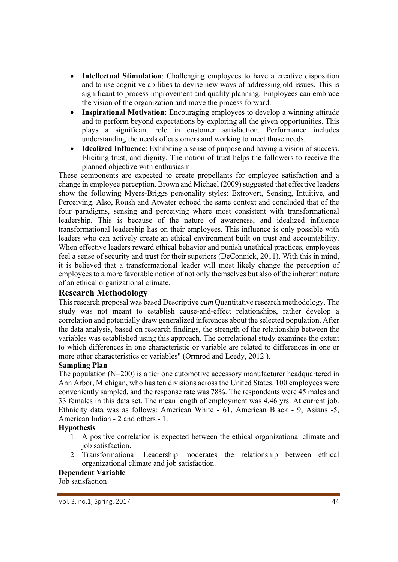- **Intellectual Stimulation**: Challenging employees to have a creative disposition and to use cognitive abilities to devise new ways of addressing old issues. This is significant to process improvement and quality planning. Employees can embrace the vision of the organization and move the process forward.
- **Inspirational Motivation:** Encouraging employees to develop a winning attitude and to perform beyond expectations by exploring all the given opportunities. This plays a significant role in customer satisfaction. Performance includes understanding the needs of customers and working to meet those needs.
- **Idealized Influence**: Exhibiting a sense of purpose and having a vision of success. Eliciting trust, and dignity. The notion of trust helps the followers to receive the planned objective with enthusiasm.

These components are expected to create propellants for employee satisfaction and a change in employee perception. Brown and Michael (2009) suggested that effective leaders show the following Myers-Briggs personality styles: Extrovert, Sensing, Intuitive, and Perceiving. Also, Roush and Atwater echoed the same context and concluded that of the four paradigms, sensing and perceiving where most consistent with transformational leadership. This is because of the nature of awareness, and idealized influence transformational leadership has on their employees. This influence is only possible with leaders who can actively create an ethical environment built on trust and accountability. When effective leaders reward ethical behavior and punish unethical practices, employees feel a sense of security and trust for their superiors (DeConnick, 2011). With this in mind, it is believed that a transformational leader will most likely change the perception of employees to a more favorable notion of not only themselves but also of the inherent nature of an ethical organizational climate.

## **Research Methodology**

This research proposal was based Descriptive *cum* Quantitative research methodology. The study was not meant to establish cause-and-effect relationships, rather develop a correlation and potentially draw generalized inferences about the selected population. After the data analysis, based on research findings, the strength of the relationship between the variables was established using this approach. The correlational study examines the extent to which differences in one characteristic or variable are related to differences in one or more other characteristics or variables" (Ormrod and Leedy, 2012 ).

#### **Sampling Plan**

The population (N=200) is a tier one automotive accessory manufacturer headquartered in Ann Arbor, Michigan, who has ten divisions across the United States. 100 employees were conveniently sampled, and the response rate was 78%. The respondents were 45 males and 33 females in this data set. The mean length of employment was 4.46 yrs. At current job. Ethnicity data was as follows: American White - 61, American Black - 9, Asians -5, American Indian - 2 and others - 1.

#### **Hypothesis**

- 1. A positive correlation is expected between the ethical organizational climate and job satisfaction.
- 2. Transformational Leadership moderates the relationship between ethical organizational climate and job satisfaction.

#### **Dependent Variable**

Job satisfaction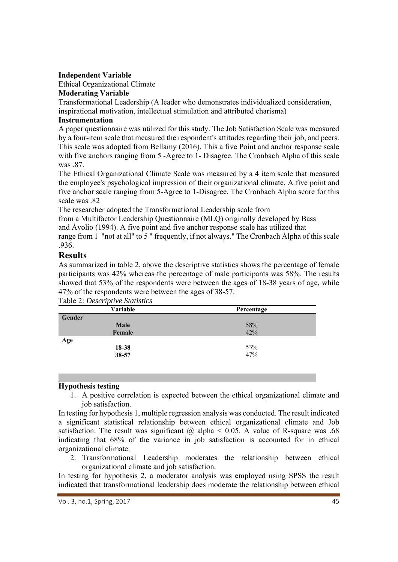#### **Independent Variable**

Ethical Organizational Climate

#### **Moderating Variable**

Transformational Leadership (A leader who demonstrates individualized consideration, inspirational motivation, intellectual stimulation and attributed charisma)

#### **Instrumentation**

A paper questionnaire was utilized for this study. The Job Satisfaction Scale was measured by a four-item scale that measured the respondent's attitudes regarding their job, and peers. This scale was adopted from Bellamy (2016). This a five Point and anchor response scale with five anchors ranging from 5-Agree to 1- Disagree. The Cronbach Alpha of this scale was .87.

The Ethical Organizational Climate Scale was measured by a 4 item scale that measured the employee's psychological impression of their organizational climate. A five point and five anchor scale ranging from 5-Agree to 1-Disagree. The Cronbach Alpha score for this scale was .82

The researcher adopted the Transformational Leadership scale from

from a Multifactor Leadership Questionnaire (MLQ) originally developed by Bass

and Avolio (1994). A five point and five anchor response scale has utilized that

range from 1 "not at all" to 5 " frequently, if not always." The Cronbach Alpha of this scale .936.

## **Results**

As summarized in table 2, above the descriptive statistics shows the percentage of female participants was 42% whereas the percentage of male participants was 58%. The results showed that 53% of the respondents were between the ages of 18-38 years of age, while 47% of the respondents were between the ages of 38-57.

| Variable    | Percentage |  |  |
|-------------|------------|--|--|
| Gender      |            |  |  |
| <b>Male</b> | 58%        |  |  |
| Female      | 42%        |  |  |
| Age         |            |  |  |
| 18-38       | 53%        |  |  |
| 38-57       | 47%        |  |  |

## Table 2: *Descriptive Statistics*

#### **Hypothesis testing**

1. A positive correlation is expected between the ethical organizational climate and job satisfaction.

In testing for hypothesis 1, multiple regression analysis was conducted. The result indicated a significant statistical relationship between ethical organizational climate and Job satisfaction. The result was significant  $\omega$  alpha < 0.05. A value of R-square was .68 indicating that 68% of the variance in job satisfaction is accounted for in ethical organizational climate.

2. Transformational Leadership moderates the relationship between ethical organizational climate and job satisfaction.

In testing for hypothesis 2, a moderator analysis was employed using SPSS the result indicated that transformational leadership does moderate the relationship between ethical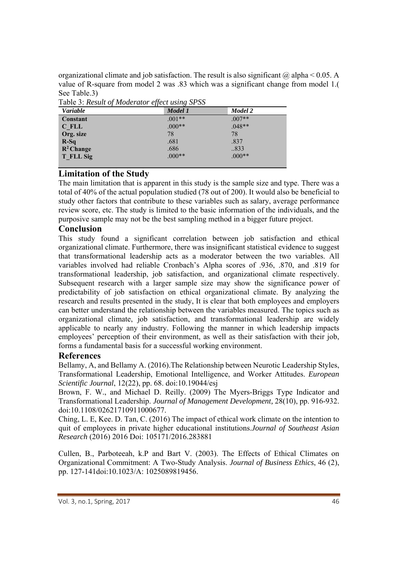organizational climate and job satisfaction. The result is also significant  $\omega$  alpha < 0.05. A value of R-square from model 2 was .83 which was a significant change from model 1.( See Table.3)

| <i>Variable</i> | Model 1  | Model 2  |  |
|-----------------|----------|----------|--|
| Constant        | $.001**$ | $.007**$ |  |
| C FLL           | $.000**$ | $.048**$ |  |
| Org. size       | 78       | 78       |  |
| $R-Sq$          | .681     | .837     |  |
| $R^2$ Change    | .686     | 833      |  |
| T FLL Sig       | $.000**$ | $.000**$ |  |

Table 3: *Result of Moderator effect using SPSS*

## **Limitation of the Study**

The main limitation that is apparent in this study is the sample size and type. There was a total of 40% of the actual population studied (78 out of 200). It would also be beneficial to study other factors that contribute to these variables such as salary, average performance review score, etc. The study is limited to the basic information of the individuals, and the purposive sample may not be the best sampling method in a bigger future project.

## **Conclusion**

This study found a significant correlation between job satisfaction and ethical organizational climate. Furthermore, there was insignificant statistical evidence to suggest that transformational leadership acts as a moderator between the two variables. All variables involved had reliable Cronbach's Alpha scores of .936, .870, and .819 for transformational leadership, job satisfaction, and organizational climate respectively. Subsequent research with a larger sample size may show the significance power of predictability of job satisfaction on ethical organizational climate. By analyzing the research and results presented in the study, It is clear that both employees and employers can better understand the relationship between the variables measured. The topics such as organizational climate, job satisfaction, and transformational leadership are widely applicable to nearly any industry. Following the manner in which leadership impacts employees' perception of their environment, as well as their satisfaction with their job, forms a fundamental basis for a successful working environment.

## **References**

Bellamy, A, and Bellamy A. (2016).The Relationship between Neurotic Leadership Styles, Transformational Leadership, Emotional Intelligence, and Worker Attitudes. *European Scientific Journal*, 12(22), pp. 68. doi:10.19044/esj

Brown, F. W., and Michael D. Reilly. (2009) The Myers-Briggs Type Indicator and Transformational Leadership. *Journal of Management Development,* 28(10), pp. 916-932. doi:10.1108/02621710911000677.

Ching, L. E, Kee. D. Tan, C. (2016) The impact of ethical work climate on the intention to quit of employees in private higher educational institutions.*Journal of Southeast Asian Research* (2016) 2016 Doi: 105171/2016.283881

Cullen, B., Parboteeah, k.P and Bart V. (2003). The Effects of Ethical Climates on Organizational Commitment: A Two-Study Analysis. *Journal of Business Ethics*, 46 (2), pp. 127-141doi:10.1023/A: 1025089819456.